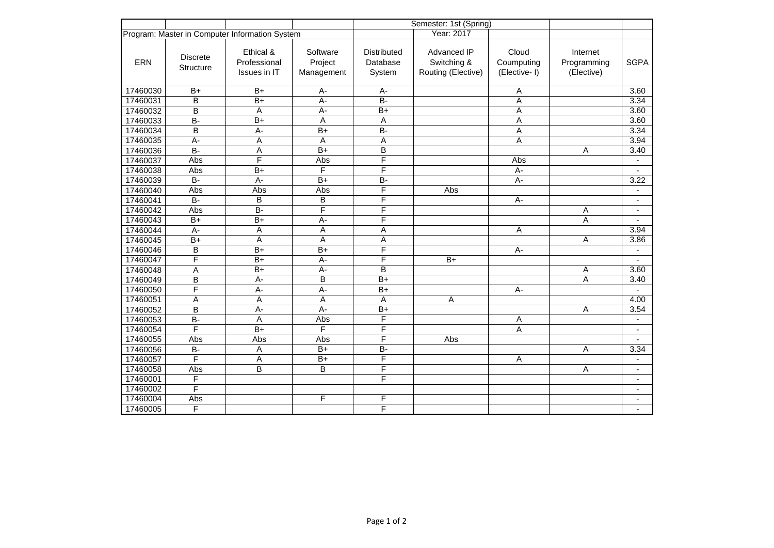|                                                |                              |                                           |                                   |                                          | Semester: 1st (Spring)                           |                                      |                                       |                          |
|------------------------------------------------|------------------------------|-------------------------------------------|-----------------------------------|------------------------------------------|--------------------------------------------------|--------------------------------------|---------------------------------------|--------------------------|
| Program: Master in Computer Information System |                              |                                           |                                   |                                          | Year: 2017                                       |                                      |                                       |                          |
| <b>ERN</b>                                     | <b>Discrete</b><br>Structure | Ethical &<br>Professional<br>Issues in IT | Software<br>Project<br>Management | <b>Distributed</b><br>Database<br>System | Advanced IP<br>Switching &<br>Routing (Elective) | Cloud<br>Coumputing<br>(Elective- I) | Internet<br>Programming<br>(Elective) | <b>SGPA</b>              |
| 17460030                                       | $B+$                         | $B+$                                      | А-                                | A-                                       |                                                  | Α                                    |                                       | 3.60                     |
| 17460031                                       | B                            | $\overline{B+}$                           | $A -$                             | $\overline{B}$                           |                                                  | A                                    |                                       | 3.34                     |
| 17460032                                       | B                            | A                                         | $A -$                             | $B+$                                     |                                                  | Α                                    |                                       | 3.60                     |
| 17460033                                       | $B -$                        | $B+$                                      | A                                 | Α                                        |                                                  | $\overline{A}$                       |                                       | 3.60                     |
| 17460034                                       | B                            | $\overline{A}$ -                          | $B+$                              | <b>B-</b>                                |                                                  | A                                    |                                       | 3.34                     |
| 17460035                                       | $\overline{A}$ -             | A                                         | A                                 | Α                                        |                                                  | A                                    |                                       | 3.94                     |
| 17460036                                       | $B -$                        | A                                         | $B+$                              | B                                        |                                                  |                                      | Α                                     | 3.40                     |
| 17460037                                       | Abs                          | F                                         | Abs                               | F                                        |                                                  | Abs                                  |                                       |                          |
| 17460038                                       | Abs                          | $B+$                                      | F                                 | F                                        |                                                  | $A -$                                |                                       |                          |
| 17460039                                       | $B -$                        | $A -$                                     | $B+$                              | B-                                       |                                                  | A-                                   |                                       | 3.22                     |
| 17460040                                       | Abs                          | Abs                                       | Abs                               | F                                        | Abs                                              |                                      |                                       | $\blacksquare$           |
| 17460041                                       | B-                           | B                                         | B                                 | F                                        |                                                  | A-                                   |                                       | $\blacksquare$           |
| 17460042                                       | Abs                          | $B -$                                     | F                                 | F                                        |                                                  |                                      | Α                                     | $\overline{\phantom{a}}$ |
| 17460043                                       | $B+$                         | $\overline{B+}$                           | $A -$                             | F                                        |                                                  |                                      | A                                     |                          |
| 17460044                                       | $A -$                        | A                                         | Α                                 | Α                                        |                                                  | A                                    |                                       | 3.94                     |
| 17460045                                       | $\overline{B+}$              | A                                         | A                                 | Α                                        |                                                  |                                      | $\overline{A}$                        | 3.86                     |
| 17460046                                       | B                            | $B+$                                      | $B+$                              | F                                        |                                                  | $A -$                                |                                       |                          |
| 17460047                                       | F                            | $B+$                                      | $A -$                             | F                                        | $B+$                                             |                                      |                                       |                          |
| 17460048                                       | A                            | $B+$                                      | $\overline{A}$ -                  | B                                        |                                                  |                                      | A                                     | 3.60                     |
| 17460049                                       | $\overline{B}$               | $A -$                                     | B                                 | $B+$                                     |                                                  |                                      | A                                     | 3.40                     |
| 17460050                                       | F                            | $A -$                                     | A-                                | $B+$                                     |                                                  | A-                                   |                                       |                          |
| 17460051                                       | A                            | A                                         | A                                 | Α                                        | Α                                                |                                      |                                       | 4.00                     |
| 17460052                                       | B                            | $A -$                                     | $A -$                             | $B+$                                     |                                                  |                                      | A                                     | 3.54                     |
| 17460053                                       | $\overline{B}$               | $\overline{A}$                            | Abs                               | F                                        |                                                  | Α                                    |                                       | $\blacksquare$           |
| 17460054                                       | $\overline{\mathsf{F}}$      | $\overline{B+}$                           | $\overline{\mathsf{F}}$           | F                                        |                                                  | Α                                    |                                       |                          |
| 17460055                                       | Abs                          | Abs                                       | Abs                               | F                                        | Abs                                              |                                      |                                       |                          |
| 17460056                                       | $B -$                        | A                                         | $B+$                              | $B -$                                    |                                                  |                                      | A                                     | 3.34                     |
| 17460057                                       | F                            | A                                         | $B+$                              | F                                        |                                                  | A                                    |                                       | $\blacksquare$           |
| 17460058                                       | Abs                          | B                                         | B                                 | F                                        |                                                  |                                      | Α                                     | $\overline{\phantom{a}}$ |
| 17460001                                       | F                            |                                           |                                   | F                                        |                                                  |                                      |                                       | $\overline{\phantom{a}}$ |
| 17460002                                       | F                            |                                           |                                   |                                          |                                                  |                                      |                                       | $\blacksquare$           |
| 17460004                                       | Abs                          |                                           | F                                 | F                                        |                                                  |                                      |                                       | $\overline{\phantom{a}}$ |
| 17460005                                       | F                            |                                           |                                   | F                                        |                                                  |                                      |                                       | $\overline{\phantom{a}}$ |